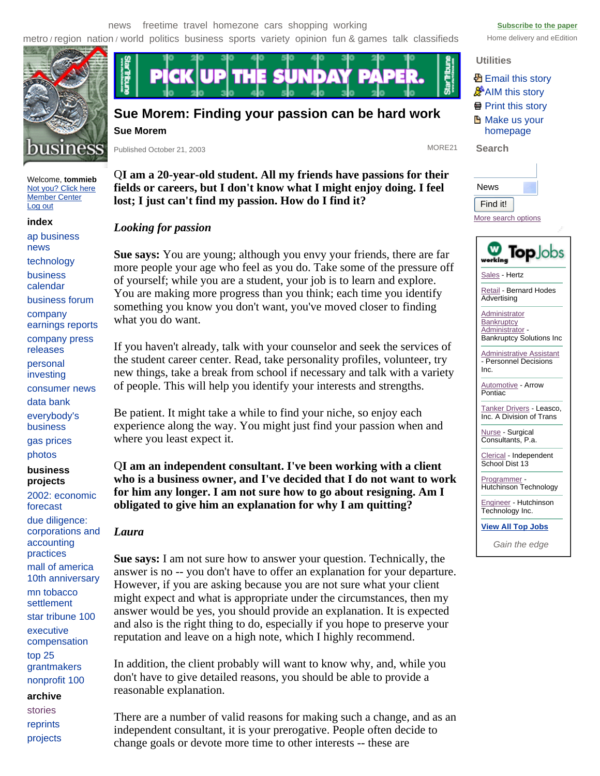metro / region nation / world politics business sports variety opinion fun & games talk classifieds Home delivery and eEdition



Welcome, **tommieb**  Not you? Click here Member Center Log out

**index** 

ap business news technology business calendar business forum company earnings reports company press releases personal investing consumer news data bank everybody's business gas prices photos

**business projects** 

2002: economic forecast due diligence: corporations and accounting practices mall of america 10th anniversary mn tobacco

settlement star tribune 100

executive compensation top 25 grantmakers

nonprofit 100

### **archive**

stories reprints projects



# **Sue Morem: Finding your passion can be hard work Sue Morem**

Published October 21, 2003 MORE21

Q**I am a 20-year-old student. All my friends have passions for their fields or careers, but I don't know what I might enjoy doing. I feel lost; I just can't find my passion. How do I find it?**

# *Looking for passion*

**Sue says:** You are young; although you envy your friends, there are far more people your age who feel as you do. Take some of the pressure off of yourself; while you are a student, your job is to learn and explore. You are making more progress than you think; each time you identify something you know you don't want, you've moved closer to finding what you do want.

If you haven't already, talk with your counselor and seek the services of the student career center. Read, take personality profiles, volunteer, try new things, take a break from school if necessary and talk with a variety of people. This will help you identify your interests and strengths.

Be patient. It might take a while to find your niche, so enjoy each experience along the way. You might just find your passion when and where you least expect it.

Q**I am an independent consultant. I've been working with a client who is a business owner, and I've decided that I do not want to work for him any longer. I am not sure how to go about resigning. Am I obligated to give him an explanation for why I am quitting?**

### *Laura*

**Sue says:** I am not sure how to answer your question. Technically, the answer is no -- you don't have to offer an explanation for your departure. However, if you are asking because you are not sure what your client might expect and what is appropriate under the circumstances, then my answer would be yes, you should provide an explanation. It is expected and also is the right thing to do, especially if you hope to preserve your reputation and leave on a high note, which I highly recommend.

In addition, the client probably will want to know why, and, while you don't have to give detailed reasons, you should be able to provide a reasonable explanation.

There are a number of valid reasons for making such a change, and as an independent consultant, it is your prerogative. People often decide to change goals or devote more time to other interests -- these are

### **Utilities**

**图 Email this story AIM** this story **骨 Print this story H** Make us your homepage

**Search** 

| News                |  |
|---------------------|--|
| Find it!            |  |
| More search options |  |